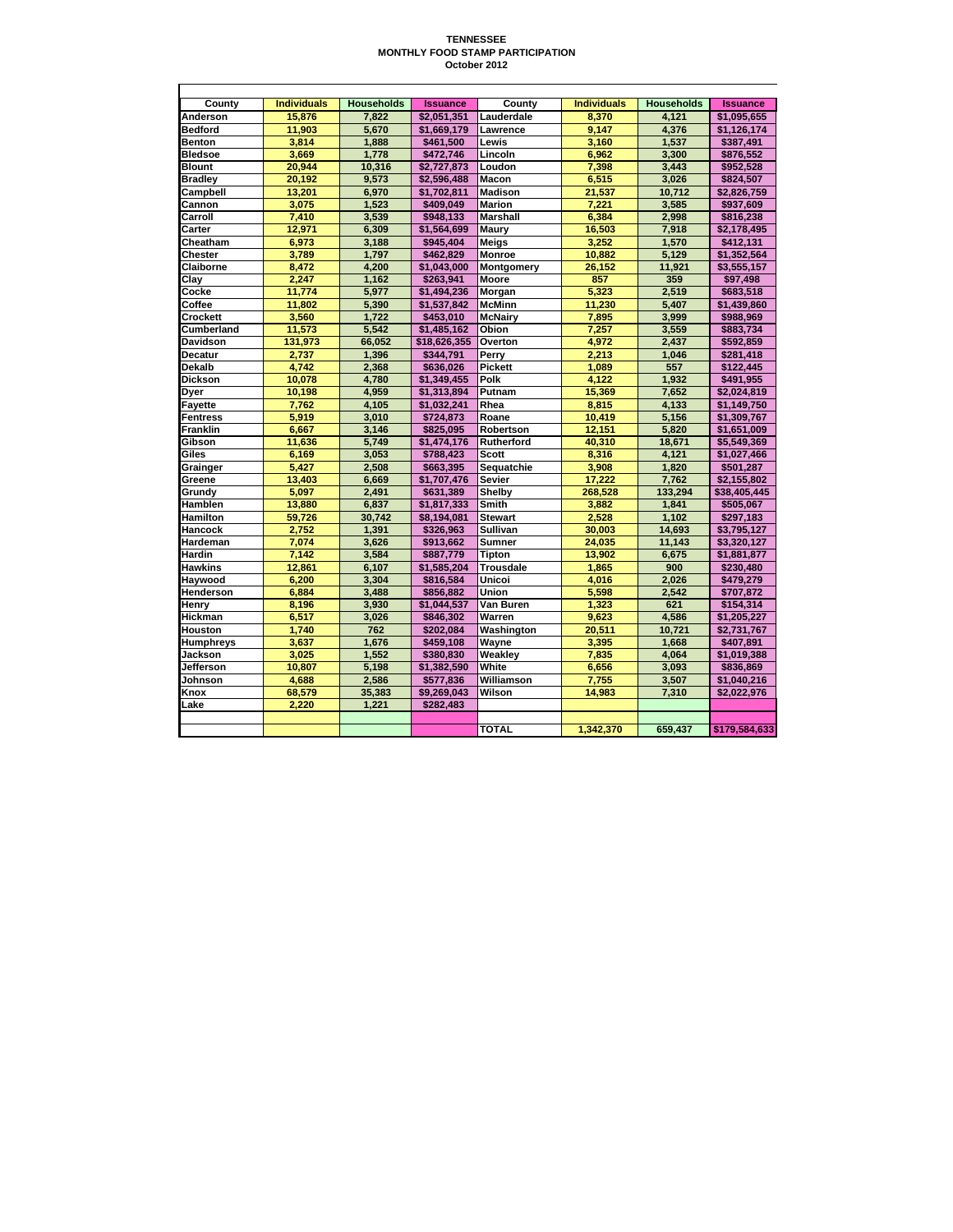## **TENNESSEE MONTHLY FOOD STAMP PARTICIPATION October 2012**

| County           | <b>Individuals</b> | <b>Households</b> | <b>Issuance</b> | Countv           | <b>Individuals</b> | <b>Households</b> | <b>Issuance</b> |
|------------------|--------------------|-------------------|-----------------|------------------|--------------------|-------------------|-----------------|
| Anderson         | 15.876             | 7.822             | \$2.051.351     | Lauderdale       | 8.370              | 4.121             | \$1.095.655     |
| <b>Bedford</b>   | 11,903             | 5,670             | \$1,669,179     | Lawrence         | 9.147              | 4,376             | \$1,126,174     |
| <b>Benton</b>    | 3.814              | 1.888             | \$461.500       | Lewis            | 3,160              | 1,537             | \$387,491       |
| <b>Bledsoe</b>   | 3.669              | 1.778             | \$472.746       | Lincoln          | 6.962              | 3.300             | \$876,552       |
| <b>Blount</b>    | 20,944             | 10,316            | \$2,727,873     | Loudon           | 7,398              | 3,443             | \$952,528       |
| <b>Bradley</b>   | 20.192             | 9.573             | \$2.596.488     | Macon            | 6.515              | 3.026             | \$824.507       |
| Campbell         | 13,201             | 6,970             | \$1,702,811     | <b>Madison</b>   | 21,537             | 10,712            | \$2,826,759     |
| Cannon           | 3.075              | 1,523             | \$409,049       | <b>Marion</b>    | 7,221              | 3,585             | \$937,609       |
| Carroll          | 7.410              | 3.539             | \$948.133       | <b>Marshall</b>  | 6.384              | 2.998             | \$816,238       |
| Carter           | 12,971             | 6,309             | \$1,564,699     | Maury            | 16,503             | 7,918             | \$2,178,495     |
| Cheatham         | 6,973              | 3,188             | \$945,404       | <b>Meigs</b>     | 3,252              | 1,570             | \$412,131       |
| Chester          | 3.789              | 1.797             | \$462.829       | <b>Monroe</b>    | 10.882             | 5.129             | \$1,352,564     |
| Claiborne        | 8.472              | 4.200             | \$1,043,000     | Montgomery       | 26.152             | 11,921            | \$3,555,157     |
| Clay             | 2,247              | 1,162             | \$263,941       | Moore            | 857                | 359               | \$97,498        |
| Cocke            | 11.774             | 5.977             | \$1.494.236     | Morgan           | 5.323              | 2.519             | \$683.518       |
| Coffee           | 11.802             | 5.390             | \$1,537,842     | <b>McMinn</b>    | 11.230             | 5.407             | \$1,439,860     |
| Crockett         | 3,560              | 1,722             | \$453,010       | <b>McNairy</b>   | 7,895              | 3,999             | \$988,969       |
| Cumberland       | 11,573             | 5.542             | \$1.485.162     | Obion            | 7.257              | 3.559             | \$883,734       |
| Davidson         | 131,973            | 66,052            | \$18,626,355    | Overton          | 4,972              | 2,437             | \$592,859       |
| <b>Decatur</b>   | 2.737              | 1,396             | \$344,791       | Perry            | 2,213              | 1,046             | \$281,418       |
| Dekalb           | 4.742              | 2.368             | \$636.026       | <b>Pickett</b>   | 1.089              | 557               | \$122.445       |
| <b>Dickson</b>   | 10,078             | 4,780             | \$1,349,455     | Polk             | 4.122              | 1,932             | \$491,955       |
| Dyer             | 10,198             | 4.959             | \$1,313,894     | Putnam           | 15,369             | 7.652             | \$2,024,819     |
| <b>Fayette</b>   | 7.762              | 4,105             | \$1.032.241     | Rhea             | 8.815              | 4.133             | \$1,149,750     |
| <b>Fentress</b>  | 5,919              | 3,010             | \$724,873       | Roane            | 10,419             | 5,156             | \$1.309.767     |
| <b>Franklin</b>  | 6,667              | 3,146             | \$825,095       | Robertson        | 12,151             | 5,820             | \$1,651,009     |
| Gibson           | 11.636             | 5.749             | \$1.474.176     | Rutherford       | 40.310             | 18.671            | \$5,549,369     |
| Giles            | 6.169              | 3.053             | \$788,423       | <b>Scott</b>     | 8.316              | 4.121             | \$1,027,466     |
| Grainger         | 5,427              | 2,508             | \$663,395       | Sequatchie       | 3,908              | 1,820             | \$501,287       |
| Greene           | 13.403             | 6.669             | \$1.707.476     | <b>Sevier</b>    | 17.222             | 7.762             | \$2.155.802     |
| Grundy           | 5.097              | 2.491             | \$631,389       | Shelby           | 268,528            | 133.294           | \$38,405,445    |
| Hamblen          | 13,880             | 6,837             | \$1,817,333     | Smith            | 3,882              | 1,841             | \$505,067       |
| Hamilton         | 59.726             | 30.742            | \$8.194.081     | <b>Stewart</b>   | 2.528              | 1.102             | \$297.183       |
| Hancock          | 2.752              | 1,391             | \$326,963       | Sullivan         | 30,003             | 14,693            | \$3,795,127     |
| Hardeman         | 7.074              | 3,626             | \$913,662       | <b>Sumner</b>    | 24,035             | 11,143            | \$3,320,127     |
| <b>Hardin</b>    | 7.142              | 3.584             | \$887.779       | Tipton           | 13.902             | 6.675             | \$1,881,877     |
| <b>Hawkins</b>   | 12.861             | 6.107             | \$1.585.204     | <b>Trousdale</b> | 1.865              | 900               | \$230,480       |
| Haywood          | 6,200              | 3,304             | \$816,584       | Unicoi           | 4,016              | 2,026             | \$479,279       |
| <b>Henderson</b> | 6.884              | 3.488             | \$856.882       | Union            | 5.598              | 2.542             | \$707,872       |
| Henry            | 8.196              | 3.930             | \$1.044.537     | Van Buren        | 1.323              | 621               | \$154.314       |
| <b>Hickman</b>   | 6,517              | 3,026             | \$846,302       | Warren           | 9,623              | 4,586             | \$1,205,227     |
| Houston          | 1.740              | 762               | \$202,084       | Washington       | 20.511             | 10.721            | \$2.731.767     |
| Humphreys        | 3.637              | 1,676             | \$459.108       | Wayne            | 3.395              | 1,668             | \$407.891       |
| Jackson          | 3.025              | 1,552             | \$380,830       | Weakley          | 7,835              | 4,064             | \$1,019,388     |
| Jefferson        | 10,807             | 5,198             | \$1,382,590     | White            | 6,656              | 3,093             | \$836,869       |
| Johnson          | 4.688              | 2,586             | \$577.836       | Williamson       | 7.755              | 3,507             | \$1,040,216     |
| Knox             | 68,579             | 35,383            | \$9,269,043     | Wilson           | 14,983             | 7,310             | \$2,022,976     |
| Lake             | 2,220              | 1,221             | \$282,483       |                  |                    |                   |                 |
|                  |                    |                   |                 |                  |                    |                   |                 |
|                  |                    |                   |                 | <b>TOTAL</b>     | 1,342,370          | 659.437           | \$179,584,633   |